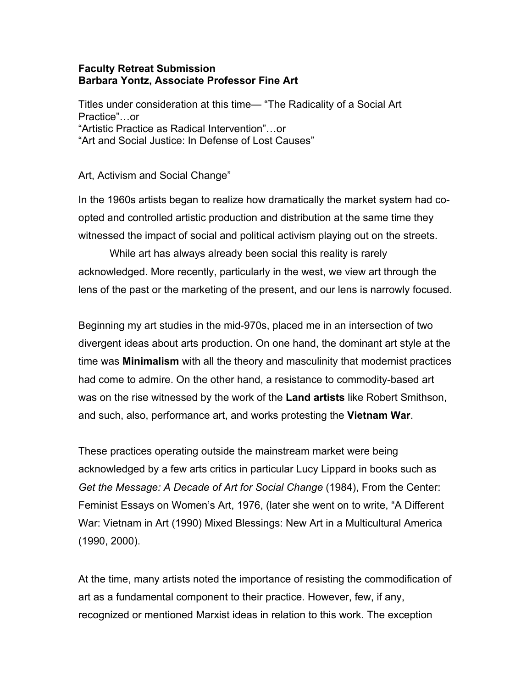## **Faculty Retreat Submission Barbara Yontz, Associate Professor Fine Art**

Titles under consideration at this time— "The Radicality of a Social Art Practice"…or "Artistic Practice as Radical Intervention"…or "Art and Social Justice: In Defense of Lost Causes"

Art, Activism and Social Change"

In the 1960s artists began to realize how dramatically the market system had coopted and controlled artistic production and distribution at the same time they witnessed the impact of social and political activism playing out on the streets.

While art has always already been social this reality is rarely acknowledged. More recently, particularly in the west, we view art through the lens of the past or the marketing of the present, and our lens is narrowly focused.

Beginning my art studies in the mid-970s, placed me in an intersection of two divergent ideas about arts production. On one hand, the dominant art style at the time was **Minimalism** with all the theory and masculinity that modernist practices had come to admire. On the other hand, a resistance to commodity-based art was on the rise witnessed by the work of the **Land artists** like Robert Smithson, and such, also, performance art, and works protesting the **Vietnam War**.

These practices operating outside the mainstream market were being acknowledged by a few arts critics in particular Lucy Lippard in books such as *Get the Message: A Decade of Art for Social Change* (1984), From the Center: Feminist Essays on Women's Art, 1976, (later she went on to write, "A Different War: Vietnam in Art (1990) Mixed Blessings: New Art in a Multicultural America (1990, 2000).

At the time, many artists noted the importance of resisting the commodification of art as a fundamental component to their practice. However, few, if any, recognized or mentioned Marxist ideas in relation to this work. The exception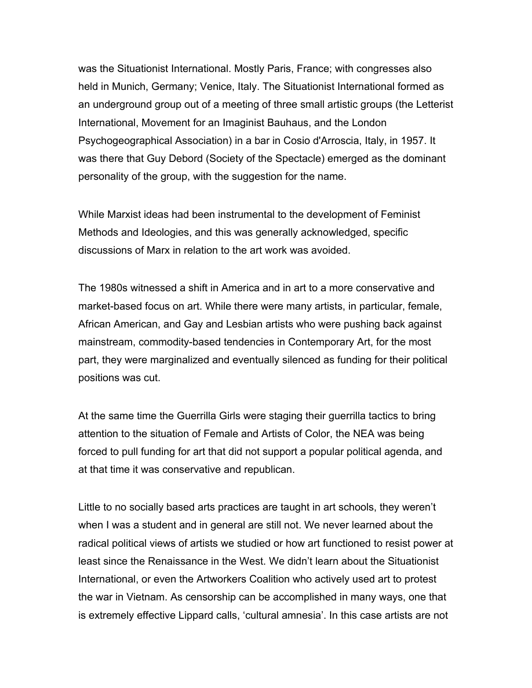was the Situationist International. Mostly Paris, France; with congresses also held in Munich, Germany; Venice, Italy. The Situationist International formed as an underground group out of a meeting of three small artistic groups (the Letterist International, Movement for an Imaginist Bauhaus, and the London Psychogeographical Association) in a bar in Cosio d'Arroscia, Italy, in 1957. It was there that Guy Debord (Society of the Spectacle) emerged as the dominant personality of the group, with the suggestion for the name.

While Marxist ideas had been instrumental to the development of Feminist Methods and Ideologies, and this was generally acknowledged, specific discussions of Marx in relation to the art work was avoided.

The 1980s witnessed a shift in America and in art to a more conservative and market-based focus on art. While there were many artists, in particular, female, African American, and Gay and Lesbian artists who were pushing back against mainstream, commodity-based tendencies in Contemporary Art, for the most part, they were marginalized and eventually silenced as funding for their political positions was cut.

At the same time the Guerrilla Girls were staging their guerrilla tactics to bring attention to the situation of Female and Artists of Color, the NEA was being forced to pull funding for art that did not support a popular political agenda, and at that time it was conservative and republican.

Little to no socially based arts practices are taught in art schools, they weren't when I was a student and in general are still not. We never learned about the radical political views of artists we studied or how art functioned to resist power at least since the Renaissance in the West. We didn't learn about the Situationist International, or even the Artworkers Coalition who actively used art to protest the war in Vietnam. As censorship can be accomplished in many ways, one that is extremely effective Lippard calls, 'cultural amnesia'. In this case artists are not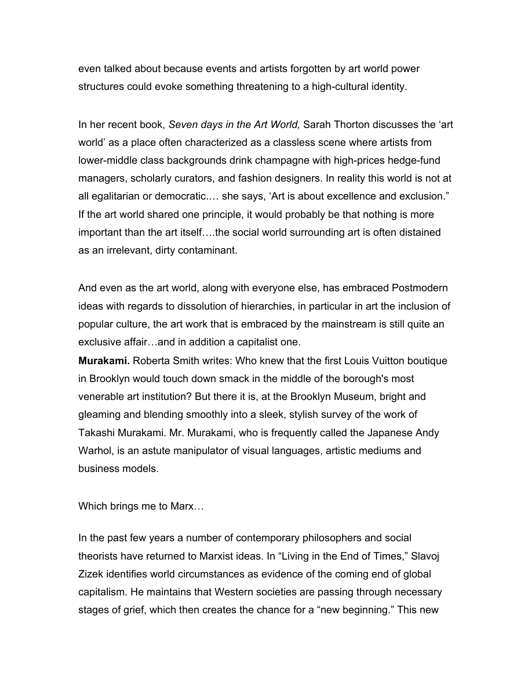even talked about because events and artists forgotten by art world power structures could evoke something threatening to a high-cultural identity.

In her recent book, *Seven days in the Art World,* Sarah Thorton discusses the 'art world' as a place often characterized as a classless scene where artists from lower-middle class backgrounds drink champagne with high-prices hedge-fund managers, scholarly curators, and fashion designers. In reality this world is not at all egalitarian or democratic.… she says, 'Art is about excellence and exclusion." If the art world shared one principle, it would probably be that nothing is more important than the art itself….the social world surrounding art is often distained as an irrelevant, dirty contaminant.

And even as the art world, along with everyone else, has embraced Postmodern ideas with regards to dissolution of hierarchies, in particular in art the inclusion of popular culture, the art work that is embraced by the mainstream is still quite an exclusive affair…and in addition a capitalist one.

**Murakami.** Roberta Smith writes: Who knew that the first Louis Vuitton boutique in Brooklyn would touch down smack in the middle of the borough's most venerable art institution? But there it is, at the Brooklyn Museum, bright and gleaming and blending smoothly into a sleek, stylish survey of the work of Takashi Murakami. Mr. Murakami, who is frequently called the Japanese Andy Warhol, is an astute manipulator of visual languages, artistic mediums and business models.

Which brings me to Marx…

In the past few years a number of contemporary philosophers and social theorists have returned to Marxist ideas. In "Living in the End of Times," Slavoj Zizek identifies world circumstances as evidence of the coming end of global capitalism. He maintains that Western societies are passing through necessary stages of grief, which then creates the chance for a "new beginning." This new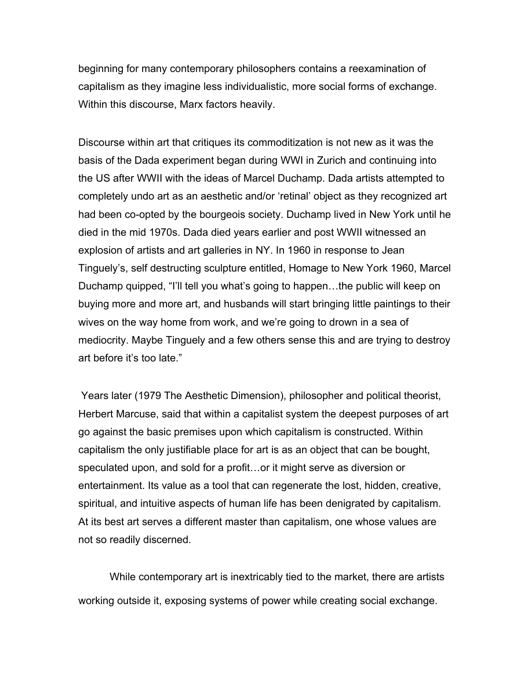beginning for many contemporary philosophers contains a reexamination of capitalism as they imagine less individualistic, more social forms of exchange. Within this discourse, Marx factors heavily.

Discourse within art that critiques its commoditization is not new as it was the basis of the Dada experiment began during WWI in Zurich and continuing into the US after WWII with the ideas of Marcel Duchamp. Dada artists attempted to completely undo art as an aesthetic and/or 'retinal' object as they recognized art had been co-opted by the bourgeois society. Duchamp lived in New York until he died in the mid 1970s. Dada died years earlier and post WWII witnessed an explosion of artists and art galleries in NY. In 1960 in response to Jean Tinguely's, self destructing sculpture entitled, Homage to New York 1960, Marcel Duchamp quipped, "I'll tell you what's going to happen…the public will keep on buying more and more art, and husbands will start bringing little paintings to their wives on the way home from work, and we're going to drown in a sea of mediocrity. Maybe Tinguely and a few others sense this and are trying to destroy art before it's too late."

Years later (1979 The Aesthetic Dimension), philosopher and political theorist, Herbert Marcuse, said that within a capitalist system the deepest purposes of art go against the basic premises upon which capitalism is constructed. Within capitalism the only justifiable place for art is as an object that can be bought, speculated upon, and sold for a profit…or it might serve as diversion or entertainment. Its value as a tool that can regenerate the lost, hidden, creative, spiritual, and intuitive aspects of human life has been denigrated by capitalism. At its best art serves a different master than capitalism, one whose values are not so readily discerned.

While contemporary art is inextricably tied to the market, there are artists working outside it, exposing systems of power while creating social exchange.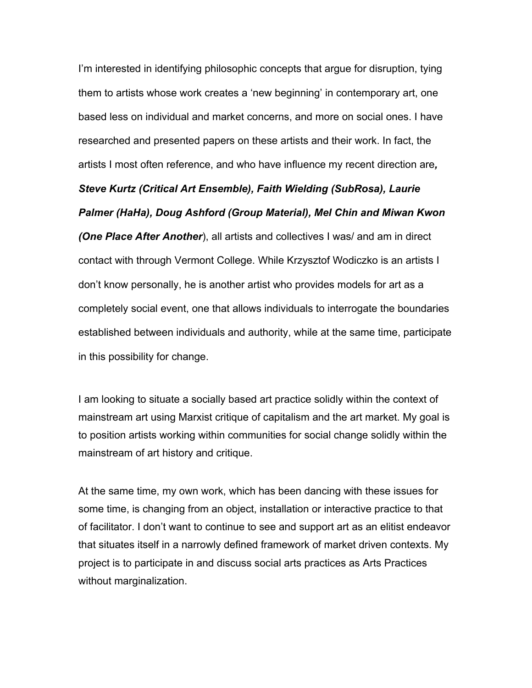I'm interested in identifying philosophic concepts that argue for disruption, tying them to artists whose work creates a 'new beginning' in contemporary art, one based less on individual and market concerns, and more on social ones. I have researched and presented papers on these artists and their work. In fact, the artists I most often reference, and who have influence my recent direction are*,* 

*Steve Kurtz (Critical Art Ensemble), Faith Wielding (SubRosa), Laurie Palmer (HaHa), Doug Ashford (Group Material), Mel Chin and Miwan Kwon (One Place After Another*), all artists and collectives I was/ and am in direct contact with through Vermont College. While Krzysztof Wodiczko is an artists I don't know personally, he is another artist who provides models for art as a completely social event, one that allows individuals to interrogate the boundaries established between individuals and authority, while at the same time, participate in this possibility for change.

I am looking to situate a socially based art practice solidly within the context of mainstream art using Marxist critique of capitalism and the art market. My goal is to position artists working within communities for social change solidly within the mainstream of art history and critique.

At the same time, my own work, which has been dancing with these issues for some time, is changing from an object, installation or interactive practice to that of facilitator. I don't want to continue to see and support art as an elitist endeavor that situates itself in a narrowly defined framework of market driven contexts. My project is to participate in and discuss social arts practices as Arts Practices without marginalization.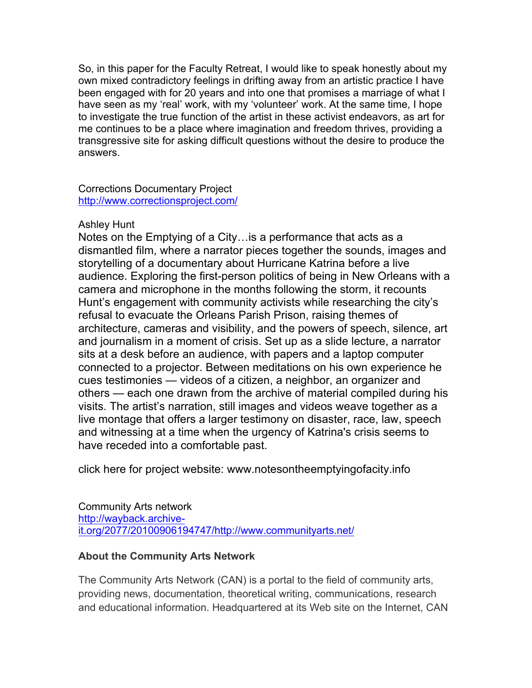So, in this paper for the Faculty Retreat, I would like to speak honestly about my own mixed contradictory feelings in drifting away from an artistic practice I have been engaged with for 20 years and into one that promises a marriage of what I have seen as my 'real' work, with my 'volunteer' work. At the same time, I hope to investigate the true function of the artist in these activist endeavors, as art for me continues to be a place where imagination and freedom thrives, providing a transgressive site for asking difficult questions without the desire to produce the answers.

Corrections Documentary Project http://www.correctionsproject.com/

## Ashley Hunt

Notes on the Emptying of a City…is a performance that acts as a dismantled film, where a narrator pieces together the sounds, images and storytelling of a documentary about Hurricane Katrina before a live audience. Exploring the first-person politics of being in New Orleans with a camera and microphone in the months following the storm, it recounts Hunt's engagement with community activists while researching the city's refusal to evacuate the Orleans Parish Prison, raising themes of architecture, cameras and visibility, and the powers of speech, silence, art and journalism in a moment of crisis. Set up as a slide lecture, a narrator sits at a desk before an audience, with papers and a laptop computer connected to a projector. Between meditations on his own experience he cues testimonies — videos of a citizen, a neighbor, an organizer and others — each one drawn from the archive of material compiled during his visits. The artist's narration, still images and videos weave together as a live montage that offers a larger testimony on disaster, race, law, speech and witnessing at a time when the urgency of Katrina's crisis seems to have receded into a comfortable past.

click here for project website: www.notesontheemptyingofacity.info

Community Arts network http://wayback.archiveit.org/2077/20100906194747/http://www.communityarts.net/

# **About the Community Arts Network**

The Community Arts Network (CAN) is a portal to the field of community arts, providing news, documentation, theoretical writing, communications, research and educational information. Headquartered at its Web site on the Internet, CAN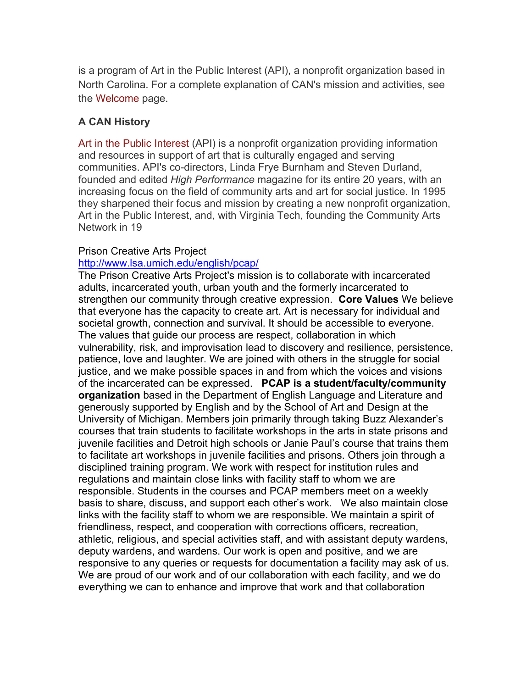is a program of Art in the Public Interest (API), a nonprofit organization based in North Carolina. For a complete explanation of CAN's mission and activities, see the Welcome page.

## **A CAN History**

Art in the Public Interest (API) is a nonprofit organization providing information and resources in support of art that is culturally engaged and serving communities. API's co-directors, Linda Frye Burnham and Steven Durland, founded and edited *High Performance* magazine for its entire 20 years, with an increasing focus on the field of community arts and art for social justice. In 1995 they sharpened their focus and mission by creating a new nonprofit organization, Art in the Public Interest, and, with Virginia Tech, founding the Community Arts Network in 19

## Prison Creative Arts Project

#### http://www.lsa.umich.edu/english/pcap/

The Prison Creative Arts Project's mission is to collaborate with incarcerated adults, incarcerated youth, urban youth and the formerly incarcerated to strengthen our community through creative expression. **Core Values** We believe that everyone has the capacity to create art. Art is necessary for individual and societal growth, connection and survival. It should be accessible to everyone. The values that guide our process are respect, collaboration in which vulnerability, risk, and improvisation lead to discovery and resilience, persistence, patience, love and laughter. We are joined with others in the struggle for social justice, and we make possible spaces in and from which the voices and visions of the incarcerated can be expressed. **PCAP is a student/faculty/community organization** based in the Department of English Language and Literature and generously supported by English and by the School of Art and Design at the University of Michigan. Members join primarily through taking Buzz Alexander's courses that train students to facilitate workshops in the arts in state prisons and juvenile facilities and Detroit high schools or Janie Paul's course that trains them to facilitate art workshops in juvenile facilities and prisons. Others join through a disciplined training program. We work with respect for institution rules and regulations and maintain close links with facility staff to whom we are responsible. Students in the courses and PCAP members meet on a weekly basis to share, discuss, and support each other's work. We also maintain close links with the facility staff to whom we are responsible. We maintain a spirit of friendliness, respect, and cooperation with corrections officers, recreation, athletic, religious, and special activities staff, and with assistant deputy wardens, deputy wardens, and wardens. Our work is open and positive, and we are responsive to any queries or requests for documentation a facility may ask of us. We are proud of our work and of our collaboration with each facility, and we do everything we can to enhance and improve that work and that collaboration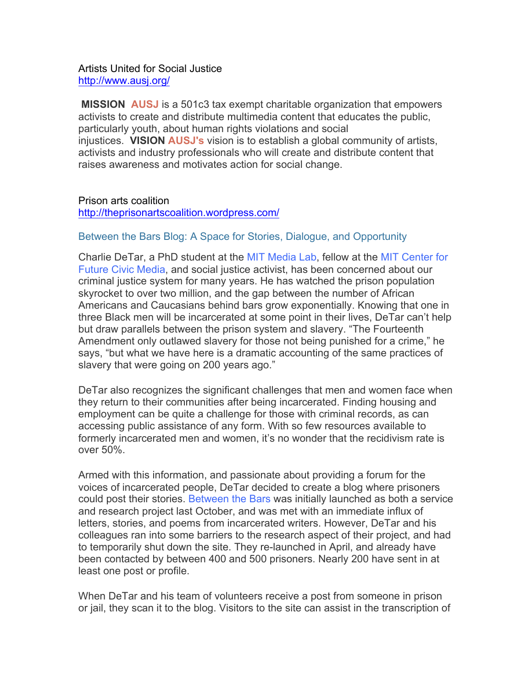### Artists United for Social Justice http://www.ausj.org/

**MISSION AUSJ** is a 501c3 tax exempt charitable organization that empowers activists to create and distribute multimedia content that educates the public, particularly youth, about human rights violations and social injustices. **VISION AUSJ's** vision is to establish a global community of artists, activists and industry professionals who will create and distribute content that raises awareness and motivates action for social change.

## Prison arts coalition

http://theprisonartscoalition.wordpress.com/

## Between the Bars Blog: A Space for Stories, Dialogue, and Opportunity

Charlie DeTar, a PhD student at the MIT Media Lab, fellow at the MIT Center for Future Civic Media, and social justice activist, has been concerned about our criminal justice system for many years. He has watched the prison population skyrocket to over two million, and the gap between the number of African Americans and Caucasians behind bars grow exponentially. Knowing that one in three Black men will be incarcerated at some point in their lives, DeTar can't help but draw parallels between the prison system and slavery. "The Fourteenth Amendment only outlawed slavery for those not being punished for a crime," he says, "but what we have here is a dramatic accounting of the same practices of slavery that were going on 200 years ago."

DeTar also recognizes the significant challenges that men and women face when they return to their communities after being incarcerated. Finding housing and employment can be quite a challenge for those with criminal records, as can accessing public assistance of any form. With so few resources available to formerly incarcerated men and women, it's no wonder that the recidivism rate is over 50%.

Armed with this information, and passionate about providing a forum for the voices of incarcerated people, DeTar decided to create a blog where prisoners could post their stories. Between the Bars was initially launched as both a service and research project last October, and was met with an immediate influx of letters, stories, and poems from incarcerated writers. However, DeTar and his colleagues ran into some barriers to the research aspect of their project, and had to temporarily shut down the site. They re-launched in April, and already have been contacted by between 400 and 500 prisoners. Nearly 200 have sent in at least one post or profile.

When DeTar and his team of volunteers receive a post from someone in prison or jail, they scan it to the blog. Visitors to the site can assist in the transcription of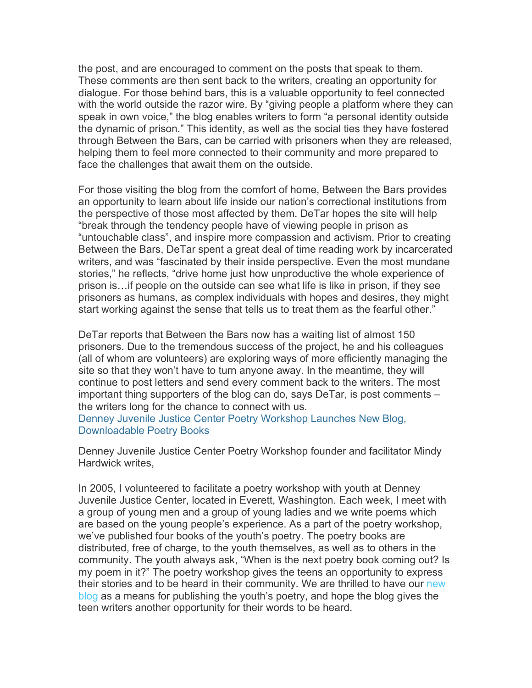the post, and are encouraged to comment on the posts that speak to them. These comments are then sent back to the writers, creating an opportunity for dialogue. For those behind bars, this is a valuable opportunity to feel connected with the world outside the razor wire. By "giving people a platform where they can speak in own voice," the blog enables writers to form "a personal identity outside the dynamic of prison." This identity, as well as the social ties they have fostered through Between the Bars, can be carried with prisoners when they are released, helping them to feel more connected to their community and more prepared to face the challenges that await them on the outside.

For those visiting the blog from the comfort of home, Between the Bars provides an opportunity to learn about life inside our nation's correctional institutions from the perspective of those most affected by them. DeTar hopes the site will help "break through the tendency people have of viewing people in prison as "untouchable class", and inspire more compassion and activism. Prior to creating Between the Bars, DeTar spent a great deal of time reading work by incarcerated writers, and was "fascinated by their inside perspective. Even the most mundane stories," he reflects, "drive home just how unproductive the whole experience of prison is…if people on the outside can see what life is like in prison, if they see prisoners as humans, as complex individuals with hopes and desires, they might start working against the sense that tells us to treat them as the fearful other."

DeTar reports that Between the Bars now has a waiting list of almost 150 prisoners. Due to the tremendous success of the project, he and his colleagues (all of whom are volunteers) are exploring ways of more efficiently managing the site so that they won't have to turn anyone away. In the meantime, they will continue to post letters and send every comment back to the writers. The most important thing supporters of the blog can do, says DeTar, is post comments – the writers long for the chance to connect with us. Denney Juvenile Justice Center Poetry Workshop Launches New Blog,

Downloadable Poetry Books

Denney Juvenile Justice Center Poetry Workshop founder and facilitator Mindy Hardwick writes,

In 2005, I volunteered to facilitate a poetry workshop with youth at Denney Juvenile Justice Center, located in Everett, Washington. Each week, I meet with a group of young men and a group of young ladies and we write poems which are based on the young people's experience. As a part of the poetry workshop, we've published four books of the youth's poetry. The poetry books are distributed, free of charge, to the youth themselves, as well as to others in the community. The youth always ask, "When is the next poetry book coming out? Is my poem in it?" The poetry workshop gives the teens an opportunity to express their stories and to be heard in their community. We are thrilled to have our new blog as a means for publishing the youth's poetry, and hope the blog gives the teen writers another opportunity for their words to be heard.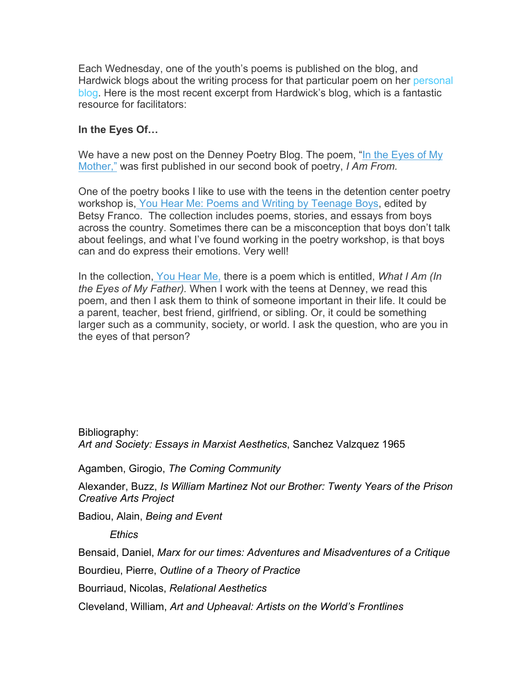Each Wednesday, one of the youth's poems is published on the blog, and Hardwick blogs about the writing process for that particular poem on her personal blog. Here is the most recent excerpt from Hardwick's blog, which is a fantastic resource for facilitators:

## **In the Eyes Of…**

We have a new post on the Denney Poetry Blog. The poem, "In the Eyes of My Mother," was first published in our second book of poetry, *I Am From.*

One of the poetry books I like to use with the teens in the detention center poetry workshop is, You Hear Me: Poems and Writing by Teenage Boys, edited by Betsy Franco. The collection includes poems, stories, and essays from boys across the country. Sometimes there can be a misconception that boys don't talk about feelings, and what I've found working in the poetry workshop, is that boys can and do express their emotions. Very well!

In the collection, You Hear Me, there is a poem which is entitled, *What I Am (In the Eyes of My Father).* When I work with the teens at Denney, we read this poem, and then I ask them to think of someone important in their life. It could be a parent, teacher, best friend, girlfriend, or sibling. Or, it could be something larger such as a community, society, or world. I ask the question, who are you in the eyes of that person?

Bibliography: *Art and Society: Essays in Marxist Aesthetics*, Sanchez Valzquez 1965

Agamben, Girogio, *The Coming Community*

Alexander, Buzz, *Is William Martinez Not our Brother: Twenty Years of the Prison Creative Arts Project*

Badiou, Alain, *Being and Event*

*Ethics*

Bensaid, Daniel, *Marx for our times: Adventures and Misadventures of a Critique*

Bourdieu, Pierre, *Outline of a Theory of Practice*

Bourriaud, Nicolas, *Relational Aesthetics*

Cleveland, William, *Art and Upheaval: Artists on the World's Frontlines*